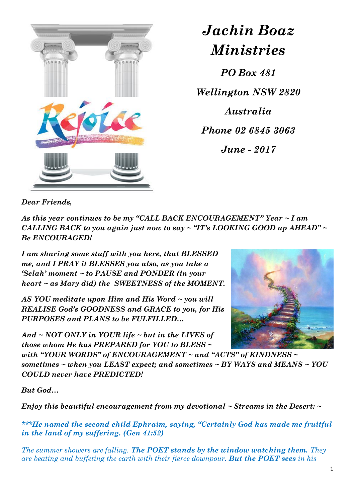

*Jachin Boaz Ministries*

*PO Box 481 Wellington NSW 2820 Australia Phone 02 6845 3063 June - 2017*

*Dear Friends,*

*As this year continues to be my "CALL BACK ENCOURAGEMENT" Year ~ I am CALLING BACK to you again just now to say ~ "IT's LOOKING GOOD up AHEAD" ~ Be ENCOURAGED!* 

*I am sharing some stuff with you here, that BLESSED me, and I PRAY it BLESSES you also, as you take a 'Selah' moment ~ to PAUSE and PONDER (in your heart ~ as Mary did) the SWEETNESS of the MOMENT.*

*AS YOU meditate upon Him and His Word ~ you will REALISE God's GOODNESS and GRACE to you, for His PURPOSES and PLANS to be FULFILLED…* 

*And ~ NOT ONLY in YOUR life ~ but in the LIVES of those whom He has PREPARED for YOU to BLESS ~* 



*with "YOUR WORDS" of ENCOURAGEMENT ~ and "ACTS" of KINDNESS ~ sometimes ~ when you LEAST expect; and sometimes ~ BY WAYS and MEANS ~ YOU COULD never have PREDICTED!* 

*But God…*

*Enjoy this beautiful encouragement from my devotional ~ Streams in the Desert: ~*

*\*\*\*He named the second child Ephraim, saying, "Certainly God has made me fruitful in the land of my suffering. (Gen 41:52)*

*The summer showers are falling. The POET stands by the window watching them. They are beating and buffeting the earth with their fierce downpour. But the POET sees in his*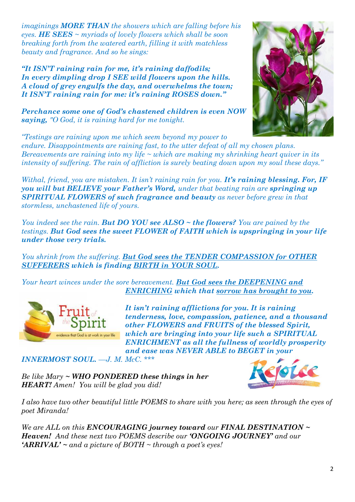*imaginings MORE THAN the showers which are falling before his eyes. HE SEES ~ myriads of lovely flowers which shall be soon breaking forth from the watered earth, filling it with matchless beauty and fragrance. And so he sings:*

*"It ISN'T raining rain for me, it's raining daffodils; In every dimpling drop I SEE wild flowers upon the hills. A cloud of grey engulfs the day, and overwhelms the town; It ISN'T raining rain for me: it's raining ROSES down."*

*Perchance some one of God's chastened children is even NOW saying, "O God, it is raining hard for me tonight.*



*"Testings are raining upon me which seem beyond my power to endure. Disappointments are raining fast, to the utter defeat of all my chosen plans. Bereavements are raining into my life ~ which are making my shrinking heart quiver in its intensity of suffering. The rain of affliction is surely beating down upon my soul these days."*

*Withal, friend, you are mistaken. It isn't raining rain for you. It's raining blessing. For, IF you will but BELIEVE your Father's Word, under that beating rain are springing up SPIRITUAL FLOWERS of such fragrance and beauty as never before grew in that stormless, unchastened life of yours.*

*You indeed see the rain. But DO YOU see ALSO ~ the flowers? You are pained by the testings. But God sees the sweet FLOWER of FAITH which is upspringing in your life under those very trials.*

*You shrink from the suffering. But God sees the TENDER COMPASSION for OTHER SUFFERERS which is finding BIRTH in YOUR SOUL.*

*Your heart winces under the sore bereavement. But God sees the DEEPENING and ENRICHING which that sorrow has brought to you.*



*It isn't raining afflictions for you. It is raining tenderness, love, compassion, patience, and a thousand other FLOWERS and FRUITS of the blessed Spirit, which are bringing into your life such a SPIRITUAL ENRICHMENT as all the fullness of worldly prosperity and ease was NEVER ABLE to BEGET in your* 

*INNERMOST SOUL. —J. M. McC. \*\*\**

*Be like Mary ~ WHO PONDERED these things in her HEART! Amen! You will be glad you did!* 



*I also have two other beautiful little POEMS to share with you here; as seen through the eyes of poet Miranda!* 

*We are ALL on this ENCOURAGING journey toward our FINAL DESTINATION ~ Heaven! And these next two POEMS describe our 'ONGOING JOURNEY' and our 'ARRIVAL' ~ and a picture of BOTH ~ through a poet's eyes!*